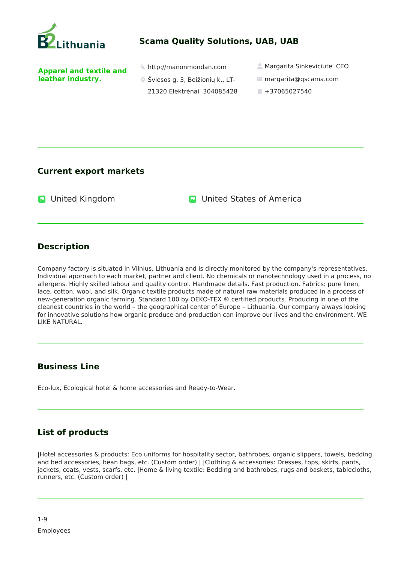

## **Scama Quality Solutions, UAB, UAB**

**Apparel and textile and leather industry.** 

- 
- Šviesos g. 3, Beižionių k., LT-
	- 21320 Elektrėnai 304085428
- $\ast$  http://manonmondan.com  $\bullet$  Margarita Sinkeviciute CEO
	- margarita@qscama.com
	- $+37065027540$

**Current export markets**

**D** United Kingdom **C** United States of America

## **Description**

Company factory is situated in Vilnius, Lithuania and is directly monitored by the company's representatives. Individual approach to each market, partner and client. No chemicals or nanotechnology used in a process, no allergens. Highly skilled labour and quality control. Handmade details. Fast production. Fabrics: pure linen, lace, cotton, wool, and silk. Organic textile products made of natural raw materials produced in a process of new-generation organic farming. Standard 100 by OEKO-TEX ® certified products. Producing in one of the cleanest countries in the world – the geographical center of Europe – Lithuania. Our company always looking for innovative solutions how organic produce and production can improve our lives and the environment. WE LIKE NATURAL.

## **Business Line**

Eco-lux, Ecological hotel & home accessories and Ready-to-Wear.

## **List of products**

|Hotel accessories & products: Eco uniforms for hospitality sector, bathrobes, organic slippers, towels, bedding and bed accessories, bean bags, etc. (Custom order) | |Clothing & accessories: Dresses, tops, skirts, pants, jackets, coats, vests, scarfs, etc. |Home & living textile: Bedding and bathrobes, rugs and baskets, tablecloths, runners, etc. (Custom order) |